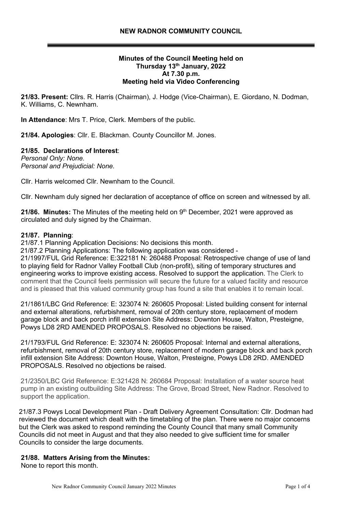## **Minutes of the Council Meeting held on Thursday 13th January, 2022 At 7.30 p.m. Meeting held via Video Conferencing**

**21/83. Present:** Cllrs. R. Harris (Chairman), J. Hodge (Vice-Chairman), E. Giordano, N. Dodman, K. Williams, C. Newnham.

**In Attendance**: Mrs T. Price, Clerk. Members of the public.

**21/84. Apologies**: Cllr. E. Blackman. County Councillor M. Jones.

## **21/85. Declarations of Interest**:

*Personal Only: None. Personal and Prejudicial: None.*

Cllr. Harris welcomed Cllr. Newnham to the Council.

Cllr. Newnham duly signed her declaration of acceptance of office on screen and witnessed by all.

21/86. Minutes: The Minutes of the meeting held on 9<sup>th</sup> December, 2021 were approved as circulated and duly signed by the Chairman.

#### **21/87. Planning**:

21/87.1 Planning Application Decisions: No decisions this month.

21/87.2 Planning Applications: The following application was considered -

21/1997/FUL Grid Reference: E:322181 N: 260488 Proposal: Retrospective change of use of land to playing field for Radnor Valley Football Club (non-profit), siting of temporary structures and engineering works to improve existing access. Resolved to support the application. The Clerk to comment that the Council feels permission will secure the future for a valued facility and resource and is pleased that this valued community group has found a site that enables it to remain local.

21/1861/LBC Grid Reference: E: 323074 N: 260605 Proposal: Listed building consent for internal and external alterations, refurbishment, removal of 20th century store, replacement of modern garage block and back porch infill extension Site Address: Downton House, Walton, Presteigne, Powys LD8 2RD AMENDED PROPOSALS. Resolved no objections be raised.

21/1793/FUL Grid Reference: E: 323074 N: 260605 Proposal: Internal and external alterations, refurbishment, removal of 20th century store, replacement of modern garage block and back porch infill extension Site Address: Downton House, Walton, Presteigne, Powys LD8 2RD. AMENDED PROPOSALS. Resolved no objections be raised.

21/2350/LBC Grid Reference: E:321428 N: 260684 Proposal: Installation of a water source heat pump in an existing outbuilding Site Address: The Grove, Broad Street, New Radnor. Resolved to support the application.

21/87.3 Powys Local Development Plan - Draft Delivery Agreement Consultation: Cllr. Dodman had reviewed the document which dealt with the timetabling of the plan. There were no major concerns but the Clerk was asked to respond reminding the County Council that many small Community Councils did not meet in August and that they also needed to give sufficient time for smaller Councils to consider the large documents.

#### **21/88. Matters Arising from the Minutes:**

None to report this month.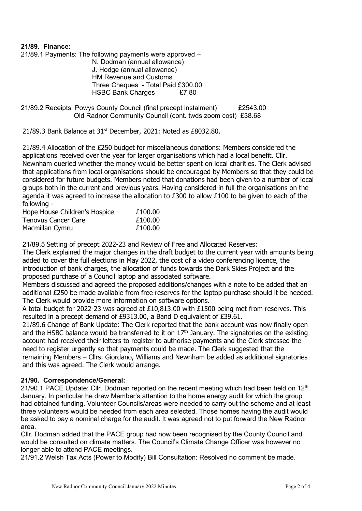### **21/89. Finance:**

21/89.1 Payments: The following payments were approved – N. Dodman (annual allowance) J. Hodge (annual allowance) HM Revenue and Customs Three Cheques - Total Paid £300.00 HSBC Bank Charges £7.80

21/89.2 Receipts: Powys County Council (final precept instalment) £2543.00 Old Radnor Community Council (cont. twds zoom cost) £38.68

21/89.3 Bank Balance at  $31<sup>st</sup>$  December, 2021: Noted as £8032.80.

21/89.4 Allocation of the £250 budget for miscellaneous donations: Members considered the applications received over the year for larger organisations which had a local benefit. Cllr. Newnham queried whether the money would be better spent on local charities. The Clerk advised that applications from local organisations should be encouraged by Members so that they could be considered for future budgets. Members noted that donations had been given to a number of local groups both in the current and previous years. Having considered in full the organisations on the agenda it was agreed to increase the allocation to £300 to allow £100 to be given to each of the following -

| Hope House Children's Hospice          | £100.00 |
|----------------------------------------|---------|
| Tenovus Cancer Care<br>Macmillan Cymru | £100.00 |
|                                        | £100.00 |

21/89.5 Setting of precept 2022-23 and Review of Free and Allocated Reserves:

The Clerk explained the major changes in the draft budget to the current year with amounts being added to cover the full elections in May 2022, the cost of a video conferencing licence, the introduction of bank charges, the allocation of funds towards the Dark Skies Project and the proposed purchase of a Council laptop and associated software.

Members discussed and agreed the proposed additions/changes with a note to be added that an additional £250 be made available from free reserves for the laptop purchase should it be needed. The Clerk would provide more information on software options.

A total budget for 2022-23 was agreed at £10,813.00 with £1500 being met from reserves. This resulted in a precept demand of £9313.00, a Band D equivalent of £39.61.

21/89.6 Change of Bank Update: The Clerk reported that the bank account was now finally open and the HSBC balance would be transferred to it on  $17<sup>th</sup>$  January. The signatories on the existing account had received their letters to register to authorise payments and the Clerk stressed the need to register urgently so that payments could be made. The Clerk suggested that the remaining Members – Cllrs. Giordano, Williams and Newnham be added as additional signatories and this was agreed. The Clerk would arrange.

## **21/90. Correspondence/General:**

21/90.1 PACE Update: Cllr. Dodman reported on the recent meeting which had been held on  $12<sup>th</sup>$ January. In particular he drew Member's attention to the home energy audit for which the group had obtained funding. Volunteer Councils/areas were needed to carry out the scheme and at least three volunteers would be needed from each area selected. Those homes having the audit would be asked to pay a nominal charge for the audit. It was agreed not to put forward the New Radnor area.

Cllr. Dodman added that the PACE group had now been recognised by the County Council and would be consulted on climate matters. The Council's Climate Change Officer was however no longer able to attend PACE meetings.

21/91.2 Welsh Tax Acts (Power to Modify) Bill Consultation: Resolved no comment be made.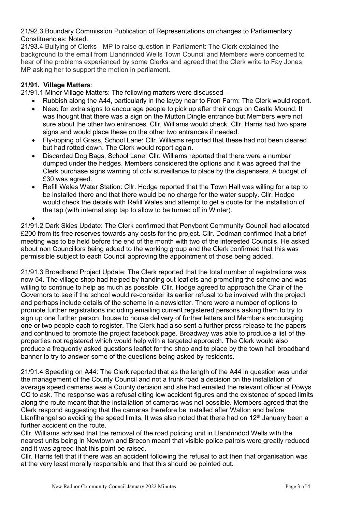## 21/92.3 Boundary Commission Publication of Representations on changes to Parliamentary Constituencies: Noted.

21/93.4 Bullying of Clerks - MP to raise question in Parliament: The Clerk explained the background to the email from Llandrindod Wells Town Council and Members were concerned to hear of the problems experienced by some Clerks and agreed that the Clerk write to Fay Jones MP asking her to support the motion in parliament.

# **21/91. Village Matters**:

21/91.1 Minor Village Matters: The following matters were discussed –

- Rubbish along the A44, particularly in the layby near to Fron Farm: The Clerk would report.
- Need for extra signs to encourage people to pick up after their dogs on Castle Mound: It was thought that there was a sign on the Mutton Dingle entrance but Members were not sure about the other two entrances. Cllr. Williams would check. Cllr. Harris had two spare signs and would place these on the other two entrances if needed.
- Fly-tipping of Grass, School Lane: Cllr. Williams reported that these had not been cleared but had rotted down. The Clerk would report again.
- Discarded Dog Bags, School Lane: Cllr. Williams reported that there were a number dumped under the hedges. Members considered the options and it was agreed that the Clerk purchase signs warning of cctv surveillance to place by the dispensers. A budget of £30 was agreed.
- Refill Wales Water Station: Cllr. Hodge reported that the Town Hall was willing for a tap to be installed there and that there would be no charge for the water supply. Cllr. Hodge would check the details with Refill Wales and attempt to get a quote for the installation of the tap (with internal stop tap to allow to be turned off in Winter).

• 21/91.2 Dark Skies Update: The Clerk confirmed that Penybont Community Council had allocated £200 from its free reserves towards any costs for the project. Cllr. Dodman confirmed that a brief meeting was to be held before the end of the month with two of the interested Councils. He asked about non Councillors being added to the working group and the Clerk confirmed that this was permissible subject to each Council approving the appointment of those being added.

21/91.3 Broadband Project Update: The Clerk reported that the total number of registrations was now 54. The village shop had helped by handing out leaflets and promoting the scheme and was willing to continue to help as much as possible. Cllr. Hodge agreed to approach the Chair of the Governors to see if the school would re-consider its earlier refusal to be involved with the project and perhaps include details of the scheme in a newsletter. There were a number of options to promote further registrations including emailing current registered persons asking them to try to sign up one further person, house to house delivery of further letters and Members encouraging one or two people each to register. The Clerk had also sent a further press release to the papers and continued to promote the project facebook page. Broadway was able to produce a list of the properties not registered which would help with a targeted approach. The Clerk would also produce a frequently asked questions leaflet for the shop and to place by the town hall broadband banner to try to answer some of the questions being asked by residents.

21/91.4 Speeding on A44: The Clerk reported that as the length of the A44 in question was under the management of the County Council and not a trunk road a decision on the installation of average speed cameras was a County decision and she had emailed the relevant officer at Powys CC to ask. The response was a refusal citing low accident figures and the existence of speed limits along the route meant that the installation of cameras was not possible. Members agreed that the Clerk respond suggesting that the cameras therefore be installed after Walton and before Llanfihangel so avoiding the speed limits. It was also noted that there had on  $12<sup>th</sup>$  January been a further accident on the route.

Cllr. Williams advised that the removal of the road policing unit in Llandrindod Wells with the nearest units being in Newtown and Brecon meant that visible police patrols were greatly reduced and it was agreed that this point be raised.

Cllr. Harris felt that if there was an accident following the refusal to act then that organisation was at the very least morally responsible and that this should be pointed out.